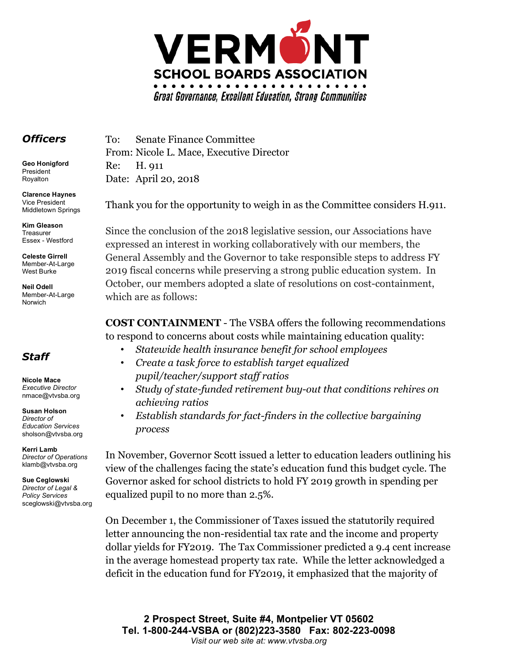

## *Officers*

**Geo Honigford** President Royalton

**Clarence Haynes** Vice President Middletown Springs

**Kim Gleason** Treasurer Essex - Westford

**Celeste Girrell** Member-At-Large West Burke

**Neil Odell** Member-At-Large Norwich

## *Staff*

**Nicole Mace** *Executive Director* nmace@vtvsba.org

**Susan Holson** *Director of Education Services* sholson@vtvsba.org

**Kerri Lamb** *Director of Operations*  klamb@vtvsba.org

**Sue Ceglowski** *Director of Legal & Policy Services* sceglowski@vtvsba.org To: Senate Finance Committee From: Nicole L. Mace, Executive Director Re: H. 911 Date: April 20, 2018

Thank you for the opportunity to weigh in as the Committee considers H.911.

Since the conclusion of the 2018 legislative session, our Associations have expressed an interest in working collaboratively with our members, the General Assembly and the Governor to take responsible steps to address FY 2019 fiscal concerns while preserving a strong public education system. In October, our members adopted a slate of resolutions on cost-containment, which are as follows:

**COST CONTAINMENT** - The VSBA offers the following recommendations to respond to concerns about costs while maintaining education quality:

- *Statewide health insurance benefit for school employees*
- *Create a task force to establish target equalized pupil/teacher/support staff ratios*
- *Study of state-funded retirement buy-out that conditions rehires on achieving ratios*
- *Establish standards for fact-finders in the collective bargaining process*

In November, Governor Scott issued a letter to education leaders outlining his view of the challenges facing the state's education fund this budget cycle. The Governor asked for school districts to hold FY 2019 growth in spending per equalized pupil to no more than 2.5%.

On December 1, the Commissioner of Taxes issued the statutorily required letter announcing the non-residential tax rate and the income and property dollar yields for FY2019. The Tax Commissioner predicted a 9.4 cent increase in the average homestead property tax rate. While the letter acknowledged a deficit in the education fund for FY2019, it emphasized that the majority of

**2 Prospect Street, Suite #4, Montpelier VT 05602 Tel. 1-800-244-VSBA or (802)223-3580 Fax: 802-223-0098** *Visit our web site at: www.vtvsba.org*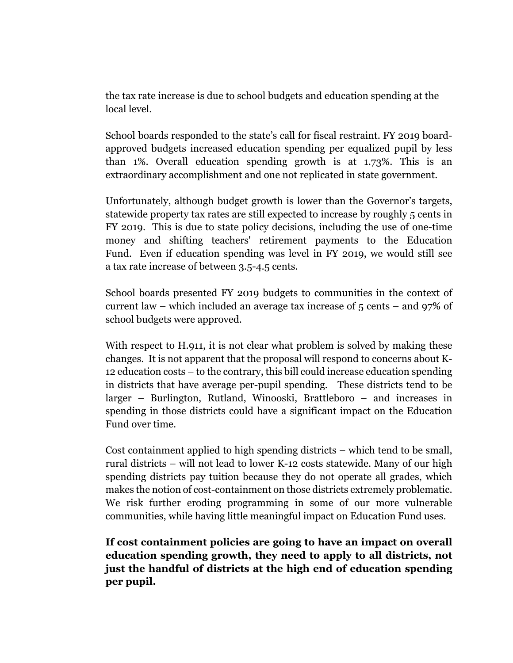the tax rate increase is due to school budgets and education spending at the local level.

School boards responded to the state's call for fiscal restraint. FY 2019 boardapproved budgets increased education spending per equalized pupil by less than 1%. Overall education spending growth is at 1.73%. This is an extraordinary accomplishment and one not replicated in state government.

Unfortunately, although budget growth is lower than the Governor's targets, statewide property tax rates are still expected to increase by roughly 5 cents in FY 2019. This is due to state policy decisions, including the use of one-time money and shifting teachers' retirement payments to the Education Fund. Even if education spending was level in FY 2019, we would still see a tax rate increase of between 3.5-4.5 cents.

School boards presented FY 2019 budgets to communities in the context of current law – which included an average tax increase of 5 cents – and 97% of school budgets were approved.

With respect to H.911, it is not clear what problem is solved by making these changes. It is not apparent that the proposal will respond to concerns about K-12 education costs – to the contrary, this bill could increase education spending in districts that have average per-pupil spending. These districts tend to be larger – Burlington, Rutland, Winooski, Brattleboro – and increases in spending in those districts could have a significant impact on the Education Fund over time.

Cost containment applied to high spending districts – which tend to be small, rural districts – will not lead to lower K-12 costs statewide. Many of our high spending districts pay tuition because they do not operate all grades, which makes the notion of cost-containment on those districts extremely problematic. We risk further eroding programming in some of our more vulnerable communities, while having little meaningful impact on Education Fund uses.

**If cost containment policies are going to have an impact on overall education spending growth, they need to apply to all districts, not just the handful of districts at the high end of education spending per pupil.**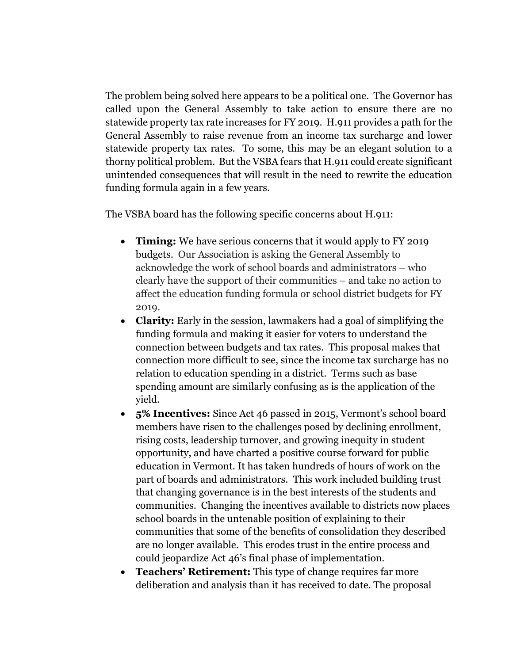The problem being solved here appears to be a political one. The Governor has called upon the General Assembly to take action to ensure there are no statewide property tax rate increases for FY 2019. H.911 provides a path for the General Assembly to raise revenue from an income tax surcharge and lower statewide property tax rates. To some, this may be an elegant solution to a thorny political problem. But the VSBA fears that H.911 could create significant unintended consequences that will result in the need to rewrite the education funding formula again in a few years.

The VSBA board has the following specific concerns about H.911:

- **Timing:** We have serious concerns that it would apply to FY 2019 budgets. Our Association is asking the General Assembly to acknowledge the work of school boards and administrators – who clearly have the support of their communities – and take no action to affect the education funding formula or school district budgets for FY 2019.
- **Clarity:** Early in the session, lawmakers had a goal of simplifying the funding formula and making it easier for voters to understand the connection between budgets and tax rates. This proposal makes that connection more difficult to see, since the income tax surcharge has no relation to education spending in a district. Terms such as base spending amount are similarly confusing as is the application of the yield.
- **5% Incentives:** Since Act 46 passed in 2015, Vermont's school board members have risen to the challenges posed by declining enrollment, rising costs, leadership turnover, and growing inequity in student opportunity, and have charted a positive course forward for public education in Vermont. It has taken hundreds of hours of work on the part of boards and administrators. This work included building trust that changing governance is in the best interests of the students and communities. Changing the incentives available to districts now places school boards in the untenable position of explaining to their communities that some of the benefits of consolidation they described are no longer available. This erodes trust in the entire process and could jeopardize Act 46's final phase of implementation.
- **Teachers' Retirement:** This type of change requires far more deliberation and analysis than it has received to date. The proposal